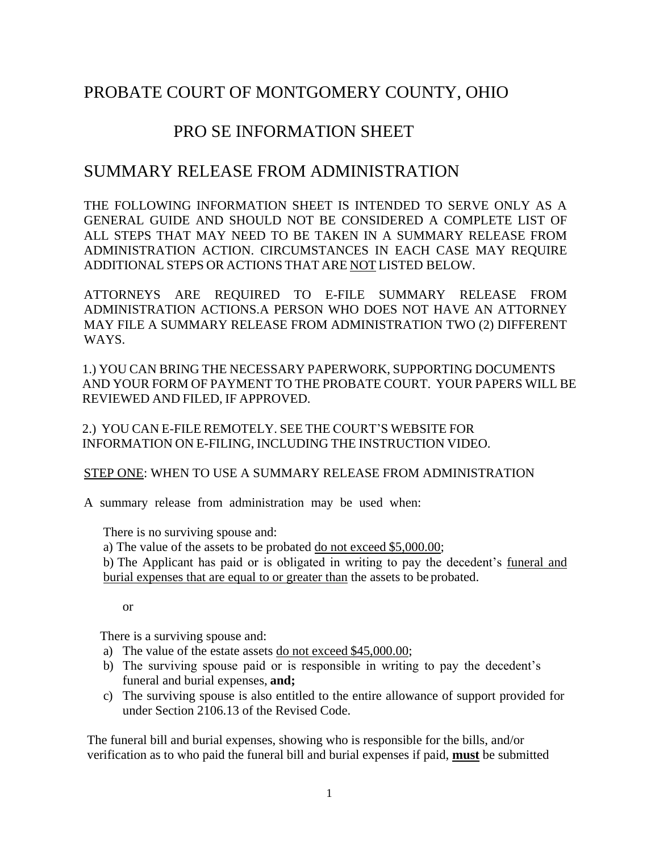# PROBATE COURT OF MONTGOMERY COUNTY, OHIO

# PRO SE INFORMATION SHEET

## SUMMARY RELEASE FROM ADMINISTRATION

THE FOLLOWING INFORMATION SHEET IS INTENDED TO SERVE ONLY AS A GENERAL GUIDE AND SHOULD NOT BE CONSIDERED A COMPLETE LIST OF ALL STEPS THAT MAY NEED TO BE TAKEN IN A SUMMARY RELEASE FROM ADMINISTRATION ACTION. CIRCUMSTANCES IN EACH CASE MAY REQUIRE ADDITIONAL STEPS OR ACTIONS THAT ARE NOT LISTED BELOW.

ATTORNEYS ARE REQUIRED TO E-FILE SUMMARY RELEASE FROM ADMINISTRATION ACTIONS.A PERSON WHO DOES NOT HAVE AN ATTORNEY MAY FILE A SUMMARY RELEASE FROM ADMINISTRATION TWO (2) DIFFERENT WAYS.

1.) YOU CAN BRING THE NECESSARY PAPERWORK, SUPPORTING DOCUMENTS AND YOUR FORM OF PAYMENT TO THE PROBATE COURT. YOUR PAPERS WILL BE REVIEWED AND FILED, IF APPROVED.

2.) YOU CAN E-FILE REMOTELY. SEE THE COURT'S WEBSITE FOR INFORMATION ON E-FILING, INCLUDING THE INSTRUCTION VIDEO.

STEP ONE: WHEN TO USE A SUMMARY RELEASE FROM ADMINISTRATION

A summary release from administration may be used when:

There is no surviving spouse and:

a) The value of the assets to be probated do not exceed \$5,000.00;

b) The Applicant has paid or is obligated in writing to pay the decedent's funeral and burial expenses that are equal to or greater than the assets to be probated.

or

There is a surviving spouse and:

- a) The value of the estate assets do not exceed \$45,000.00;
- b) The surviving spouse paid or is responsible in writing to pay the decedent's funeral and burial expenses, **and;**
- c) The surviving spouse is also entitled to the entire allowance of support provided for under Section 2106.13 of the Revised Code.

The funeral bill and burial expenses, showing who is responsible for the bills, and/or verification as to who paid the funeral bill and burial expenses if paid, **must** be submitted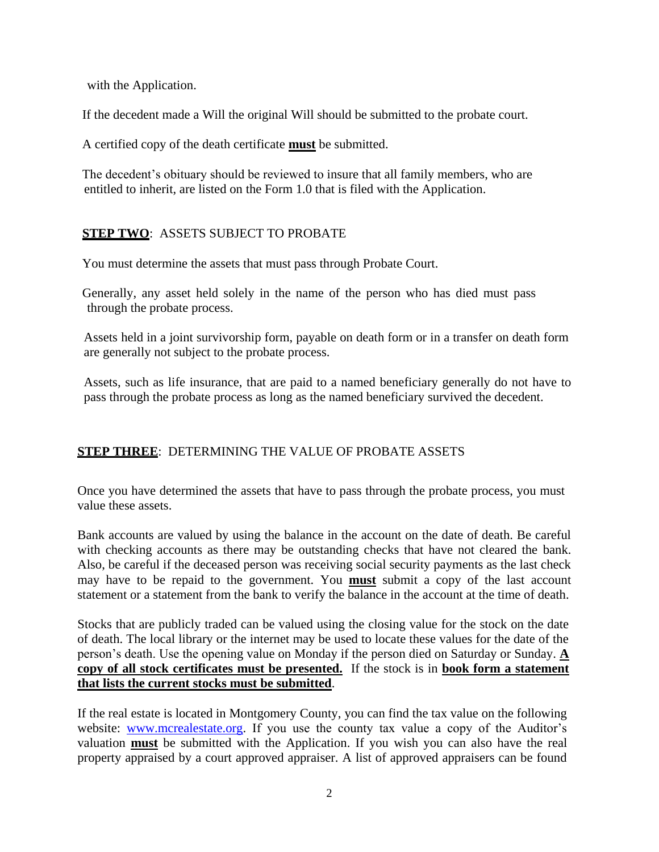with the Application.

If the decedent made a Will the original Will should be submitted to the probate court.

A certified copy of the death certificate **must** be submitted.

The decedent's obituary should be reviewed to insure that all family members, who are entitled to inherit, are listed on the Form 1.0 that is filed with the Application.

## **STEP TWO**: ASSETS SUBJECT TO PROBATE

You must determine the assets that must pass through Probate Court.

Generally, any asset held solely in the name of the person who has died must pass through the probate process.

Assets held in a joint survivorship form, payable on death form or in a transfer on death form are generally not subject to the probate process.

Assets, such as life insurance, that are paid to a named beneficiary generally do not have to pass through the probate process as long as the named beneficiary survived the decedent.

## **STEP THREE**: DETERMINING THE VALUE OF PROBATE ASSETS

Once you have determined the assets that have to pass through the probate process, you must value these assets.

Bank accounts are valued by using the balance in the account on the date of death. Be careful with checking accounts as there may be outstanding checks that have not cleared the bank. Also, be careful if the deceased person was receiving social security payments as the last check may have to be repaid to the government. You **must** submit a copy of the last account statement or a statement from the bank to verify the balance in the account at the time of death.

Stocks that are publicly traded can be valued using the closing value for the stock on the date of death. The local library or the internet may be used to locate these values for the date of the person's death. Use the opening value on Monday if the person died on Saturday or Sunday. **A copy of all stock certificates must be presented.** If the stock is in **book form a statement that lists the current stocks must be submitted**.

If the real estate is located in Montgomery County, you can find the tax value on the following website: [www.mcrealestate.org.](http://www.mcrealestate.org/) If you use the county tax value a copy of the Auditor's valuation **must** be submitted with the Application. If you wish you can also have the real property appraised by a court approved appraiser. A list of approved appraisers can be found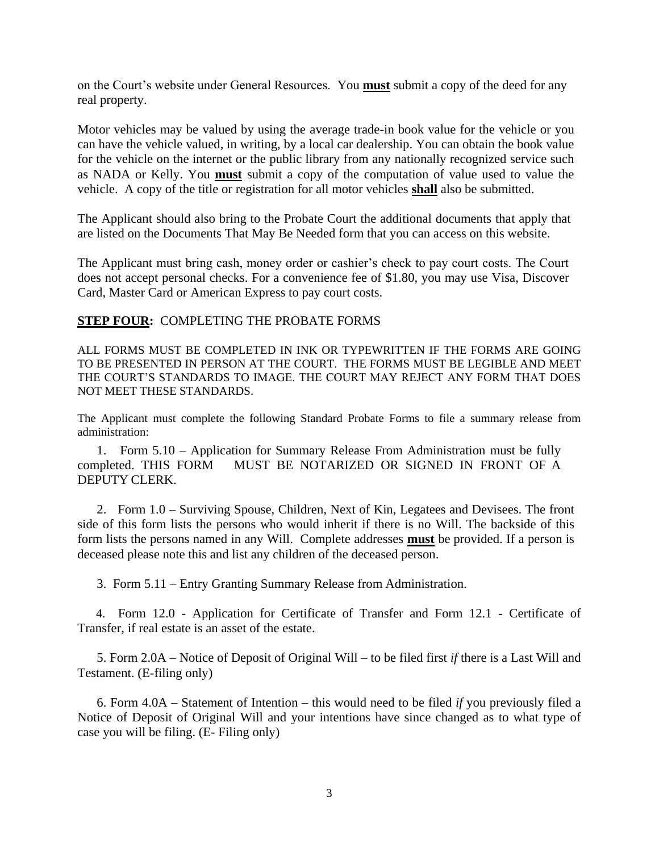on the Court's website under General Resources. You **must** submit a copy of the deed for any real property.

Motor vehicles may be valued by using the average trade-in book value for the vehicle or you can have the vehicle valued, in writing, by a local car dealership. You can obtain the book value for the vehicle on the internet or the public library from any nationally recognized service such as NADA or Kelly. You **must** submit a copy of the computation of value used to value the vehicle. A copy of the title or registration for all motor vehicles **shall** also be submitted.

The Applicant should also bring to the Probate Court the additional documents that apply that are listed on the Documents That May Be Needed form that you can access on this website.

The Applicant must bring cash, money order or cashier's check to pay court costs. The Court does not accept personal checks. For a convenience fee of \$1.80, you may use Visa, Discover Card, Master Card or American Express to pay court costs.

#### **STEP FOUR:** COMPLETING THE PROBATE FORMS

ALL FORMS MUST BE COMPLETED IN INK OR TYPEWRITTEN IF THE FORMS ARE GOING TO BE PRESENTED IN PERSON AT THE COURT. THE FORMS MUST BE LEGIBLE AND MEET THE COURT'S STANDARDS TO IMAGE. THE COURT MAY REJECT ANY FORM THAT DOES NOT MEET THESE STANDARDS.

The Applicant must complete the following Standard Probate Forms to file a summary release from administration:

 1. Form 5.10 – Application for Summary Release From Administration must be fully completed. THIS FORM MUST BE NOTARIZED OR SIGNED IN FRONT OF A DEPUTY CLERK.

 2. Form 1.0 – Surviving Spouse, Children, Next of Kin, Legatees and Devisees. The front side of this form lists the persons who would inherit if there is no Will. The backside of this form lists the persons named in any Will. Complete addresses **must** be provided. If a person is deceased please note this and list any children of the deceased person.

3. Form 5.11 – Entry Granting Summary Release from Administration.

 4. Form 12.0 - Application for Certificate of Transfer and Form 12.1 - Certificate of Transfer, if real estate is an asset of the estate.

 5. Form 2.0A – Notice of Deposit of Original Will – to be filed first *if* there is a Last Will and Testament. (E-filing only)

 6. Form 4.0A – Statement of Intention – this would need to be filed *if* you previously filed a Notice of Deposit of Original Will and your intentions have since changed as to what type of case you will be filing. (E- Filing only)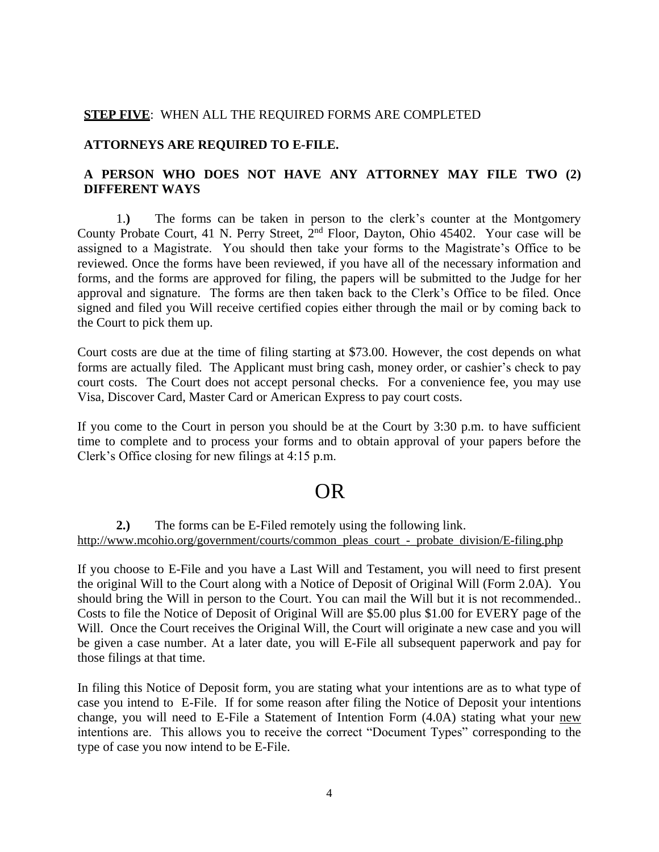#### **STEP FIVE**: WHEN ALL THE REQUIRED FORMS ARE COMPLETED

#### **ATTORNEYS ARE REQUIRED TO E-FILE.**

### **A PERSON WHO DOES NOT HAVE ANY ATTORNEY MAY FILE TWO (2) DIFFERENT WAYS**

1.**)** The forms can be taken in person to the clerk's counter at the Montgomery County Probate Court, 41 N. Perry Street, 2nd Floor, Dayton, Ohio 45402. Your case will be assigned to a Magistrate. You should then take your forms to the Magistrate's Office to be reviewed. Once the forms have been reviewed, if you have all of the necessary information and forms, and the forms are approved for filing, the papers will be submitted to the Judge for her approval and signature. The forms are then taken back to the Clerk's Office to be filed. Once signed and filed you Will receive certified copies either through the mail or by coming back to the Court to pick them up.

Court costs are due at the time of filing starting at \$73.00. However, the cost depends on what forms are actually filed. The Applicant must bring cash, money order, or cashier's check to pay court costs. The Court does not accept personal checks. For a convenience fee, you may use Visa, Discover Card, Master Card or American Express to pay court costs.

If you come to the Court in person you should be at the Court by 3:30 p.m. to have sufficient time to complete and to process your forms and to obtain approval of your papers before the Clerk's Office closing for new filings at 4:15 p.m.

# **OR** OR

#### **2.)** The forms can be E-Filed remotely using the following link. [http://www.mcohio.org/government/courts/common\\_pleas\\_court\\_-\\_probate\\_division/E-filing.php](http://www.mcohio.org/government/courts/common_pleas_court_-_probate_division/efiling.php)

If you choose to E-File and you have a Last Will and Testament, you will need to first present the original Will to the Court along with a Notice of Deposit of Original Will (Form 2.0A). You should bring the Will in person to the Court. You can mail the Will but it is not recommended.. Costs to file the Notice of Deposit of Original Will are \$5.00 plus \$1.00 for EVERY page of the Will. Once the Court receives the Original Will, the Court will originate a new case and you will be given a case number. At a later date, you will E-File all subsequent paperwork and pay for those filings at that time.

In filing this Notice of Deposit form, you are stating what your intentions are as to what type of case you intend to E-File. If for some reason after filing the Notice of Deposit your intentions change, you will need to E-File a Statement of Intention Form (4.0A) stating what your new intentions are. This allows you to receive the correct "Document Types" corresponding to the type of case you now intend to be E-File.